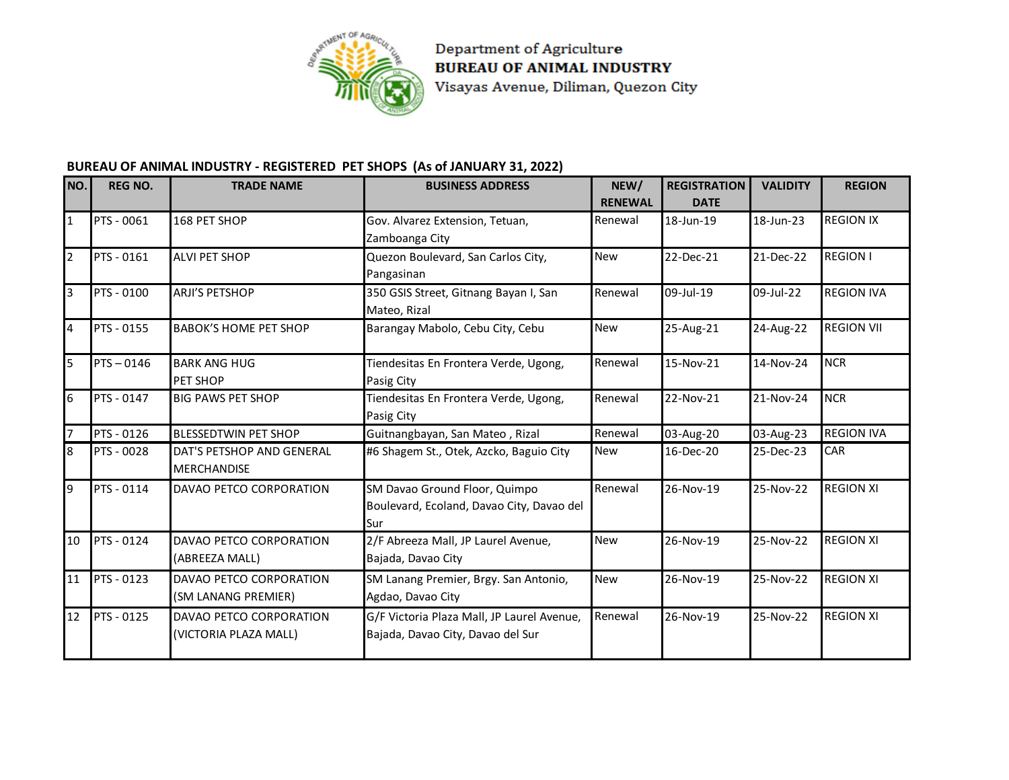

Department of Agriculture **BUREAU OF ANIMAL INDUSTRY** Visayas Avenue, Diliman, Quezon City

## **BUREAU OF ANIMAL INDUSTRY - REGISTERED PET SHOPS (As of JANUARY 31, 2022)**

| NO.                     | <b>REG NO.</b>    | <b>TRADE NAME</b>            | <b>BUSINESS ADDRESS</b>                    | NEW/           | <b>REGISTRATION</b> | <b>VALIDITY</b> | <b>REGION</b>     |
|-------------------------|-------------------|------------------------------|--------------------------------------------|----------------|---------------------|-----------------|-------------------|
|                         |                   |                              |                                            | <b>RENEWAL</b> | <b>DATE</b>         |                 |                   |
| $\overline{\mathbf{1}}$ | <b>PTS - 0061</b> | 168 PET SHOP                 | Gov. Alvarez Extension, Tetuan,            | Renewal        | 18-Jun-19           | 18-Jun-23       | <b>REGION IX</b>  |
|                         |                   |                              | Zamboanga City                             |                |                     |                 |                   |
| $\overline{2}$          | PTS - 0161        | <b>ALVI PET SHOP</b>         | Quezon Boulevard, San Carlos City,         | <b>New</b>     | 22-Dec-21           | 21-Dec-22       | <b>REGION I</b>   |
|                         |                   |                              | Pangasinan                                 |                |                     |                 |                   |
| $\overline{3}$          | PTS - 0100        | <b>ARJI'S PETSHOP</b>        | 350 GSIS Street, Gitnang Bayan I, San      | Renewal        | 09-Jul-19           | 09-Jul-22       | <b>REGION IVA</b> |
|                         |                   |                              | Mateo, Rizal                               |                |                     |                 |                   |
| $\overline{4}$          | PTS - 0155        | <b>BABOK'S HOME PET SHOP</b> | Barangay Mabolo, Cebu City, Cebu           | <b>New</b>     | 25-Aug-21           | 24-Aug-22       | <b>REGION VII</b> |
| 5                       | $PTS - 0146$      | <b>BARK ANG HUG</b>          | Tiendesitas En Frontera Verde, Ugong,      | Renewal        | 15-Nov-21           | 14-Nov-24       | <b>NCR</b>        |
|                         |                   | PET SHOP                     | Pasig City                                 |                |                     |                 |                   |
| 6                       | PTS - 0147        | <b>BIG PAWS PET SHOP</b>     | Tiendesitas En Frontera Verde, Ugong,      | Renewal        | 22-Nov-21           | 21-Nov-24       | <b>NCR</b>        |
|                         |                   |                              | Pasig City                                 |                |                     |                 |                   |
| 7                       | PTS - 0126        | <b>BLESSEDTWIN PET SHOP</b>  | Guitnangbayan, San Mateo, Rizal            | Renewal        | 03-Aug-20           | 03-Aug-23       | <b>REGION IVA</b> |
| $\overline{8}$          | PTS - 0028        | DAT'S PETSHOP AND GENERAL    | #6 Shagem St., Otek, Azcko, Baguio City    | <b>New</b>     | 16-Dec-20           | 25-Dec-23       | CAR               |
|                         |                   | <b>MERCHANDISE</b>           |                                            |                |                     |                 |                   |
| 9                       | PTS - 0114        | DAVAO PETCO CORPORATION      | SM Davao Ground Floor, Quimpo              | Renewal        | 26-Nov-19           | 25-Nov-22       | <b>REGION XI</b>  |
|                         |                   |                              | Boulevard, Ecoland, Davao City, Davao del  |                |                     |                 |                   |
|                         |                   |                              | Sur                                        |                |                     |                 |                   |
| 10                      | PTS - 0124        | DAVAO PETCO CORPORATION      | 2/F Abreeza Mall, JP Laurel Avenue,        | <b>New</b>     | 26-Nov-19           | 25-Nov-22       | <b>REGION XI</b>  |
|                         |                   | (ABREEZA MALL)               | Bajada, Davao City                         |                |                     |                 |                   |
| 11                      | PTS - 0123        | DAVAO PETCO CORPORATION      | SM Lanang Premier, Brgy. San Antonio,      | <b>New</b>     | 26-Nov-19           | 25-Nov-22       | <b>REGION XI</b>  |
|                         |                   | (SM LANANG PREMIER)          | Agdao, Davao City                          |                |                     |                 |                   |
| 12                      | <b>PTS - 0125</b> | DAVAO PETCO CORPORATION      | G/F Victoria Plaza Mall, JP Laurel Avenue, | Renewal        | 26-Nov-19           | 25-Nov-22       | <b>REGION XI</b>  |
|                         |                   | (VICTORIA PLAZA MALL)        | Bajada, Davao City, Davao del Sur          |                |                     |                 |                   |
|                         |                   |                              |                                            |                |                     |                 |                   |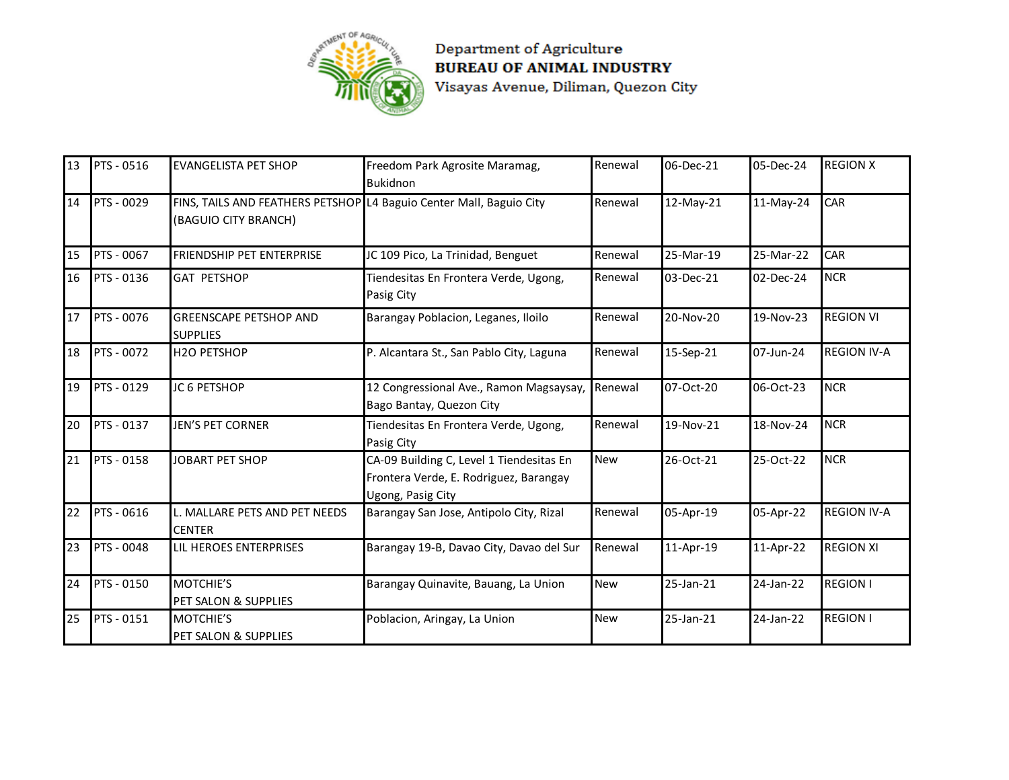

Department of Agriculture BUREAU OF ANIMAL INDUSTRY Visayas Avenue, Diliman, Quezon City

| 13              | PTS - 0516 | <b>EVANGELISTA PET SHOP</b>                                                                 | Freedom Park Agrosite Maramag,<br><b>Bukidnon</b>                                                       | Renewal    | 06-Dec-21 | 05-Dec-24 | <b>REGION X</b>    |
|-----------------|------------|---------------------------------------------------------------------------------------------|---------------------------------------------------------------------------------------------------------|------------|-----------|-----------|--------------------|
| 14              | PTS - 0029 | FINS, TAILS AND FEATHERS PETSHOP L4 Baguio Center Mall, Baguio City<br>(BAGUIO CITY BRANCH) |                                                                                                         | Renewal    | 12-May-21 | 11-May-24 | <b>CAR</b>         |
| 15              | PTS - 0067 | FRIENDSHIP PET ENTERPRISE                                                                   | JC 109 Pico, La Trinidad, Benguet                                                                       | Renewal    | 25-Mar-19 | 25-Mar-22 | CAR                |
| 16              | PTS - 0136 | <b>GAT PETSHOP</b>                                                                          | Tiendesitas En Frontera Verde, Ugong,<br>Pasig City                                                     | Renewal    | 03-Dec-21 | 02-Dec-24 | <b>NCR</b>         |
| 17              | PTS - 0076 | <b>GREENSCAPE PETSHOP AND</b><br><b>SUPPLIES</b>                                            | Barangay Poblacion, Leganes, Iloilo                                                                     | Renewal    | 20-Nov-20 | 19-Nov-23 | <b>REGION VI</b>   |
| 18              | PTS - 0072 | H2O PETSHOP                                                                                 | P. Alcantara St., San Pablo City, Laguna                                                                | Renewal    | 15-Sep-21 | 07-Jun-24 | <b>REGION IV-A</b> |
| 19              | PTS - 0129 | JC 6 PETSHOP                                                                                | 12 Congressional Ave., Ramon Magsaysay,<br>Bago Bantay, Quezon City                                     | Renewal    | 07-Oct-20 | 06-Oct-23 | <b>NCR</b>         |
| 20              | PTS - 0137 | <b>JEN'S PET CORNER</b>                                                                     | Tiendesitas En Frontera Verde, Ugong,<br>Pasig City                                                     | Renewal    | 19-Nov-21 | 18-Nov-24 | <b>NCR</b>         |
| $\overline{21}$ | PTS - 0158 | <b>JOBART PET SHOP</b>                                                                      | CA-09 Building C, Level 1 Tiendesitas En<br>Frontera Verde, E. Rodriguez, Barangay<br>Ugong, Pasig City | New        | 26-Oct-21 | 25-Oct-22 | <b>NCR</b>         |
| 22              | PTS - 0616 | L. MALLARE PETS AND PET NEEDS<br><b>CENTER</b>                                              | Barangay San Jose, Antipolo City, Rizal                                                                 | Renewal    | 05-Apr-19 | 05-Apr-22 | <b>REGION IV-A</b> |
| 23              | PTS - 0048 | LIL HEROES ENTERPRISES                                                                      | Barangay 19-B, Davao City, Davao del Sur                                                                | Renewal    | 11-Apr-19 | 11-Apr-22 | <b>REGION XI</b>   |
| 24              | PTS - 0150 | MOTCHIE'S<br>PET SALON & SUPPLIES                                                           | Barangay Quinavite, Bauang, La Union                                                                    | New        | 25-Jan-21 | 24-Jan-22 | <b>REGION I</b>    |
| 25              | PTS - 0151 | MOTCHIE'S<br>PET SALON & SUPPLIES                                                           | Poblacion, Aringay, La Union                                                                            | <b>New</b> | 25-Jan-21 | 24-Jan-22 | <b>REGION I</b>    |